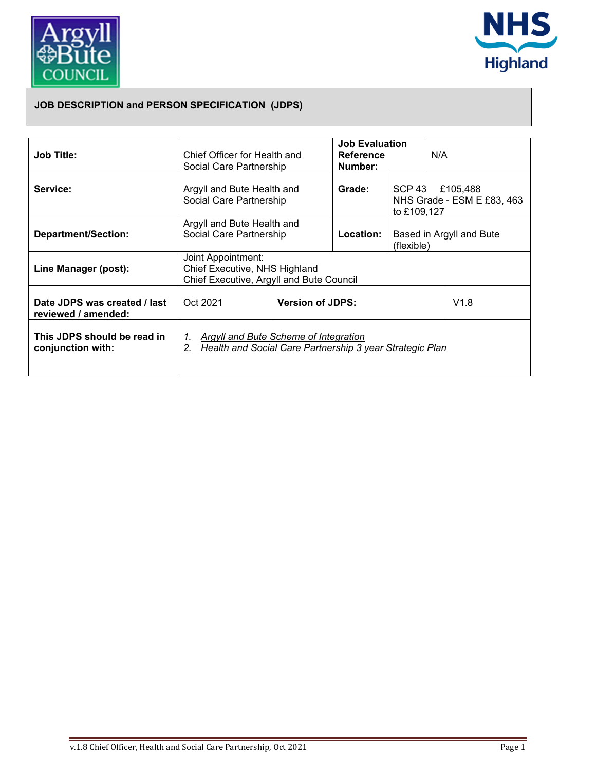



## **JOB DESCRIPTION and PERSON SPECIFICATION (JDPS)**

| Job Title:                                          | Chief Officer for Health and<br>Social Care Partnership                                                                |                                 | <b>Job Evaluation</b><br><b>Reference</b><br>Number: |                                                              | N/A |  |
|-----------------------------------------------------|------------------------------------------------------------------------------------------------------------------------|---------------------------------|------------------------------------------------------|--------------------------------------------------------------|-----|--|
| Service:                                            | Argyll and Bute Health and<br>Social Care Partnership                                                                  |                                 | Grade:                                               | SCP 43 £105,488<br>NHS Grade - ESM E £83, 463<br>to £109,127 |     |  |
| <b>Department/Section:</b>                          | Argyll and Bute Health and<br>Social Care Partnership                                                                  |                                 | <b>Location:</b>                                     | Based in Argyll and Bute<br>(flexible)                       |     |  |
| Line Manager (post):                                | Joint Appointment:<br>Chief Executive, NHS Highland<br>Chief Executive, Argyll and Bute Council                        |                                 |                                                      |                                                              |     |  |
| Date JDPS was created / last<br>reviewed / amended: | Oct 2021                                                                                                               | <b>Version of JDPS:</b><br>V1.8 |                                                      |                                                              |     |  |
| This JDPS should be read in<br>conjunction with:    | 1. Argyll and Bute Scheme of Integration<br>Health and Social Care Partnership 3 year Strategic Plan<br>2 <sub>1</sub> |                                 |                                                      |                                                              |     |  |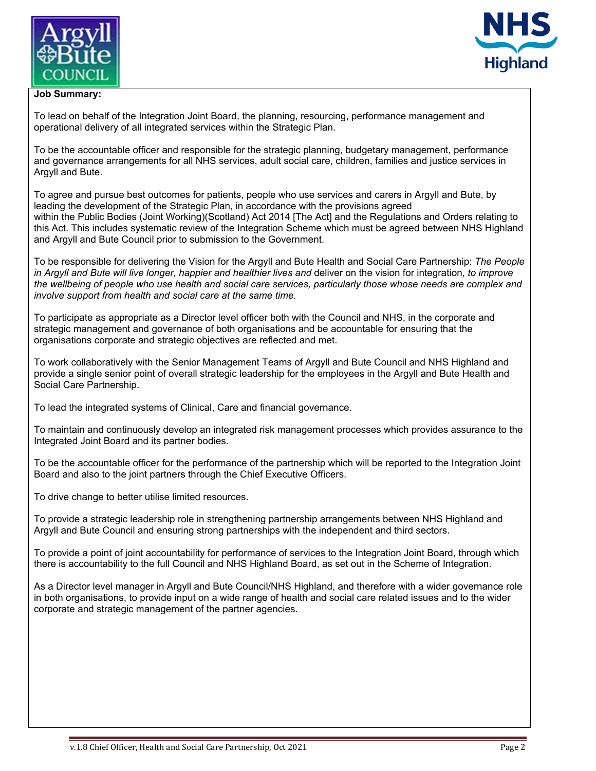



## **Job Summary:**

To lead on behalf of the Integration Joint Board, the planning, resourcing, performance management and operational delivery of all integrated services within the Strategic Plan.

To be the accountable officer and responsible for the strategic planning, budgetary management, performance and governance arrangements for all NHS services, adult social care, children, families and justice services in Argyll and Bute.

To agree and pursue best outcomes for patients, people who use services and carers in Argyll and Bute, by leading the development of the Strategic Plan, in accordance with the provisions agreed within the Public Bodies (Joint Working)(Scotland) Act 2014 [The Act] and the Regulations and Orders relating to this Act. This includes systematic review of the Integration Scheme which must be agreed between NHS Highland and Argyll and Bute Council prior to submission to the Government.

To be responsible for delivering the Vision for the Argyll and Bute Health and Social Care Partnership: *The People in Argyll and Bute will live longer, happier and healthier lives and* deliver on the vision for integration, *to improve the wellbeing of people who use health and social care services, particularly those whose needs are complex and involve support from health and social care at the same time.* 

To participate as appropriate as a Director level officer both with the Council and NHS, in the corporate and strategic management and governance of both organisations and be accountable for ensuring that the organisations corporate and strategic objectives are reflected and met.

To work collaboratively with the Senior Management Teams of Argyll and Bute Council and NHS Highland and provide a single senior point of overall strategic leadership for the employees in the Argyll and Bute Health and Social Care Partnership.

To lead the integrated systems of Clinical, Care and financial governance.

To maintain and continuously develop an integrated risk management processes which provides assurance to the Integrated Joint Board and its partner bodies.

To be the accountable officer for the performance of the partnership which will be reported to the Integration Joint Board and also to the joint partners through the Chief Executive Officers.

To drive change to better utilise limited resources.

To provide a strategic leadership role in strengthening partnership arrangements between NHS Highland and Argyll and Bute Council and ensuring strong partnerships with the independent and third sectors.

To provide a point of joint accountability for performance of services to the Integration Joint Board, through which there is accountability to the full Council and NHS Highland Board, as set out in the Scheme of Integration.

As a Director level manager in Argyll and Bute Council/NHS Highland, and therefore with a wider governance role in both organisations, to provide input on a wide range of health and social care related issues and to the wider corporate and strategic management of the partner agencies.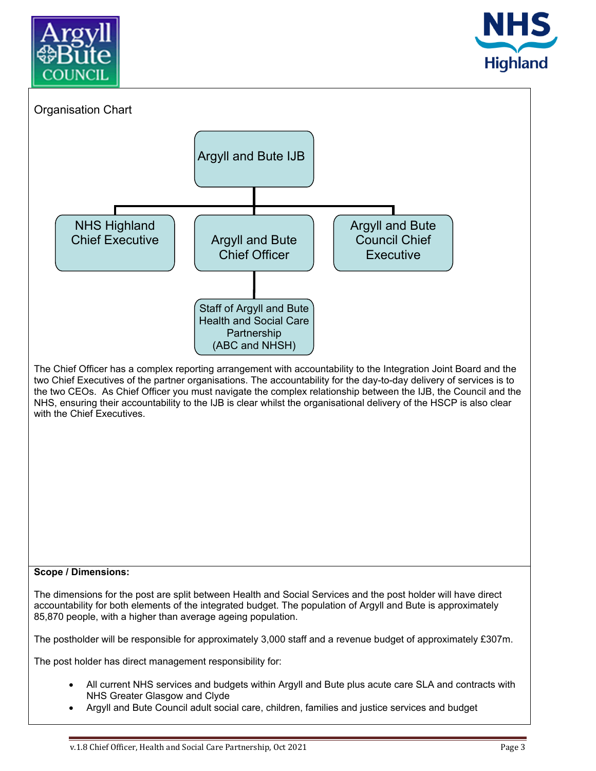





Argyll and Bute Council adult social care, children, families and justice services and budget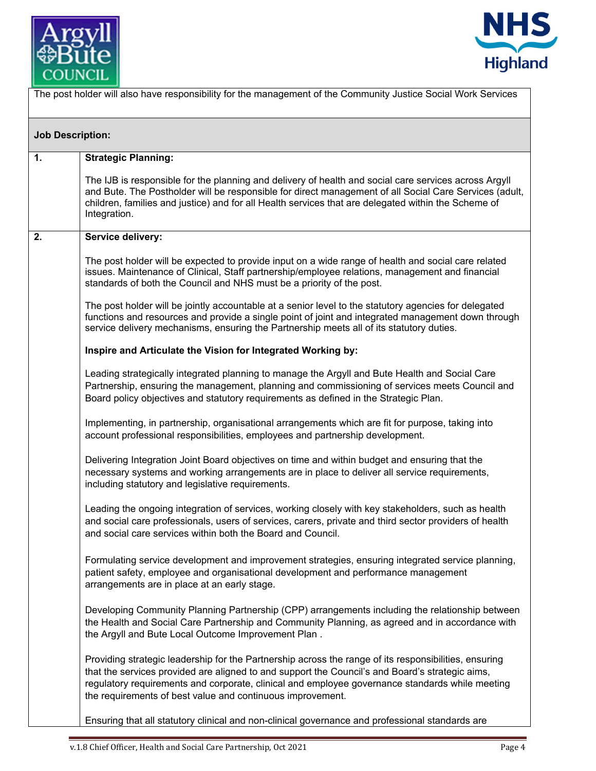



| The post holder will also have responsibility for the management of the Community Justice Social Work Services |                                                                                                                                                                                                                                                                                                                                                                           |  |
|----------------------------------------------------------------------------------------------------------------|---------------------------------------------------------------------------------------------------------------------------------------------------------------------------------------------------------------------------------------------------------------------------------------------------------------------------------------------------------------------------|--|
| <b>Job Description:</b>                                                                                        |                                                                                                                                                                                                                                                                                                                                                                           |  |
| 1.                                                                                                             | <b>Strategic Planning:</b>                                                                                                                                                                                                                                                                                                                                                |  |
|                                                                                                                | The IJB is responsible for the planning and delivery of health and social care services across Argyll<br>and Bute. The Postholder will be responsible for direct management of all Social Care Services (adult,<br>children, families and justice) and for all Health services that are delegated within the Scheme of<br>Integration.                                    |  |
| 2.                                                                                                             | Service delivery:                                                                                                                                                                                                                                                                                                                                                         |  |
|                                                                                                                | The post holder will be expected to provide input on a wide range of health and social care related<br>issues. Maintenance of Clinical, Staff partnership/employee relations, management and financial<br>standards of both the Council and NHS must be a priority of the post.                                                                                           |  |
|                                                                                                                | The post holder will be jointly accountable at a senior level to the statutory agencies for delegated<br>functions and resources and provide a single point of joint and integrated management down through<br>service delivery mechanisms, ensuring the Partnership meets all of its statutory duties.                                                                   |  |
|                                                                                                                | Inspire and Articulate the Vision for Integrated Working by:                                                                                                                                                                                                                                                                                                              |  |
|                                                                                                                | Leading strategically integrated planning to manage the Argyll and Bute Health and Social Care<br>Partnership, ensuring the management, planning and commissioning of services meets Council and<br>Board policy objectives and statutory requirements as defined in the Strategic Plan.                                                                                  |  |
|                                                                                                                | Implementing, in partnership, organisational arrangements which are fit for purpose, taking into<br>account professional responsibilities, employees and partnership development.                                                                                                                                                                                         |  |
|                                                                                                                | Delivering Integration Joint Board objectives on time and within budget and ensuring that the<br>necessary systems and working arrangements are in place to deliver all service requirements,<br>including statutory and legislative requirements.                                                                                                                        |  |
|                                                                                                                | Leading the ongoing integration of services, working closely with key stakeholders, such as health<br>and social care professionals, users of services, carers, private and third sector providers of health<br>and social care services within both the Board and Council.                                                                                               |  |
|                                                                                                                | Formulating service development and improvement strategies, ensuring integrated service planning,<br>patient safety, employee and organisational development and performance management<br>arrangements are in place at an early stage.                                                                                                                                   |  |
|                                                                                                                | Developing Community Planning Partnership (CPP) arrangements including the relationship between<br>the Health and Social Care Partnership and Community Planning, as agreed and in accordance with<br>the Argyll and Bute Local Outcome Improvement Plan.                                                                                                                 |  |
|                                                                                                                | Providing strategic leadership for the Partnership across the range of its responsibilities, ensuring<br>that the services provided are aligned to and support the Council's and Board's strategic aims,<br>regulatory requirements and corporate, clinical and employee governance standards while meeting<br>the requirements of best value and continuous improvement. |  |
|                                                                                                                | Ensuring that all statutory clinical and non-clinical governance and professional standards are                                                                                                                                                                                                                                                                           |  |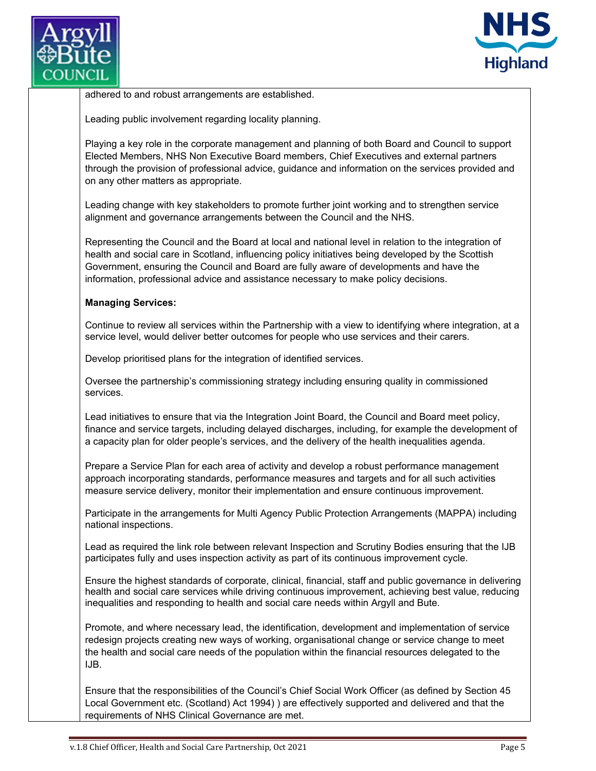



adhered to and robust arrangements are established.

Leading public involvement regarding locality planning.

Playing a key role in the corporate management and planning of both Board and Council to support Elected Members, NHS Non Executive Board members, Chief Executives and external partners through the provision of professional advice, guidance and information on the services provided and on any other matters as appropriate.

Leading change with key stakeholders to promote further joint working and to strengthen service alignment and governance arrangements between the Council and the NHS.

Representing the Council and the Board at local and national level in relation to the integration of health and social care in Scotland, influencing policy initiatives being developed by the Scottish Government, ensuring the Council and Board are fully aware of developments and have the information, professional advice and assistance necessary to make policy decisions.

## **Managing Services:**

Continue to review all services within the Partnership with a view to identifying where integration, at a service level, would deliver better outcomes for people who use services and their carers.

Develop prioritised plans for the integration of identified services.

Oversee the partnership's commissioning strategy including ensuring quality in commissioned services.

Lead initiatives to ensure that via the Integration Joint Board, the Council and Board meet policy, finance and service targets, including delayed discharges, including, for example the development of a capacity plan for older people's services, and the delivery of the health inequalities agenda.

Prepare a Service Plan for each area of activity and develop a robust performance management approach incorporating standards, performance measures and targets and for all such activities measure service delivery, monitor their implementation and ensure continuous improvement.

Participate in the arrangements for Multi Agency Public Protection Arrangements (MAPPA) including national inspections.

Lead as required the link role between relevant Inspection and Scrutiny Bodies ensuring that the IJB participates fully and uses inspection activity as part of its continuous improvement cycle.

Ensure the highest standards of corporate, clinical, financial, staff and public governance in delivering health and social care services while driving continuous improvement, achieving best value, reducing inequalities and responding to health and social care needs within Argyll and Bute.

Promote, and where necessary lead, the identification, development and implementation of service redesign projects creating new ways of working, organisational change or service change to meet the health and social care needs of the population within the financial resources delegated to the IJB.

Ensure that the responsibilities of the Council's Chief Social Work Officer (as defined by Section 45 Local Government etc. (Scotland) Act 1994) ) are effectively supported and delivered and that the requirements of NHS Clinical Governance are met.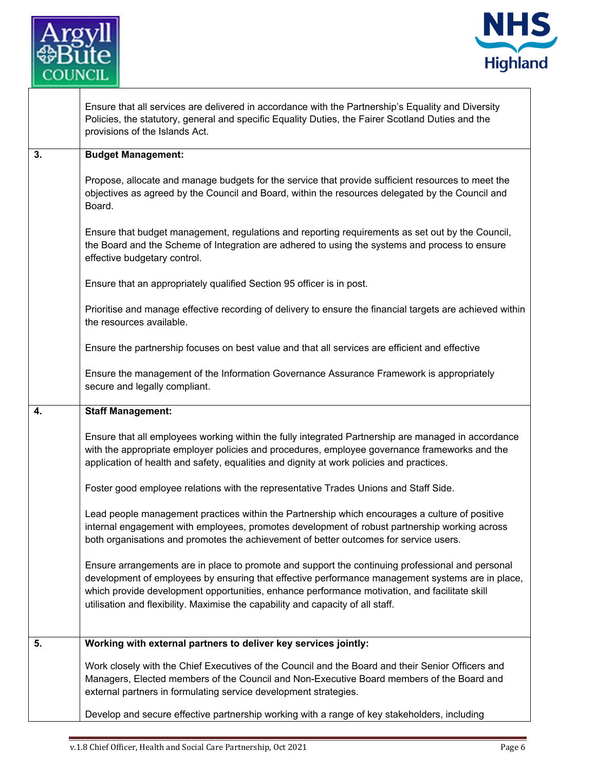

 $\mathsf{I}$ 



|    | Ensure that all services are delivered in accordance with the Partnership's Equality and Diversity<br>Policies, the statutory, general and specific Equality Duties, the Fairer Scotland Duties and the<br>provisions of the Islands Act.                                                                                                                                                |
|----|------------------------------------------------------------------------------------------------------------------------------------------------------------------------------------------------------------------------------------------------------------------------------------------------------------------------------------------------------------------------------------------|
| 3. | <b>Budget Management:</b>                                                                                                                                                                                                                                                                                                                                                                |
|    | Propose, allocate and manage budgets for the service that provide sufficient resources to meet the<br>objectives as agreed by the Council and Board, within the resources delegated by the Council and<br>Board.                                                                                                                                                                         |
|    | Ensure that budget management, regulations and reporting requirements as set out by the Council,<br>the Board and the Scheme of Integration are adhered to using the systems and process to ensure<br>effective budgetary control.                                                                                                                                                       |
|    | Ensure that an appropriately qualified Section 95 officer is in post.                                                                                                                                                                                                                                                                                                                    |
|    | Prioritise and manage effective recording of delivery to ensure the financial targets are achieved within<br>the resources available.                                                                                                                                                                                                                                                    |
|    | Ensure the partnership focuses on best value and that all services are efficient and effective                                                                                                                                                                                                                                                                                           |
|    | Ensure the management of the Information Governance Assurance Framework is appropriately<br>secure and legally compliant.                                                                                                                                                                                                                                                                |
| 4. | <b>Staff Management:</b>                                                                                                                                                                                                                                                                                                                                                                 |
|    | Ensure that all employees working within the fully integrated Partnership are managed in accordance<br>with the appropriate employer policies and procedures, employee governance frameworks and the<br>application of health and safety, equalities and dignity at work policies and practices.                                                                                         |
|    | Foster good employee relations with the representative Trades Unions and Staff Side.                                                                                                                                                                                                                                                                                                     |
|    | Lead people management practices within the Partnership which encourages a culture of positive<br>internal engagement with employees, promotes development of robust partnership working across<br>both organisations and promotes the achievement of better outcomes for service users.                                                                                                 |
|    | Ensure arrangements are in place to promote and support the continuing professional and personal<br>development of employees by ensuring that effective performance management systems are in place,<br>which provide development opportunities, enhance performance motivation, and facilitate skill<br>utilisation and flexibility. Maximise the capability and capacity of all staff. |
| 5. | Working with external partners to deliver key services jointly:                                                                                                                                                                                                                                                                                                                          |
|    | Work closely with the Chief Executives of the Council and the Board and their Senior Officers and<br>Managers, Elected members of the Council and Non-Executive Board members of the Board and<br>external partners in formulating service development strategies.                                                                                                                       |
|    | Develop and secure effective partnership working with a range of key stakeholders, including                                                                                                                                                                                                                                                                                             |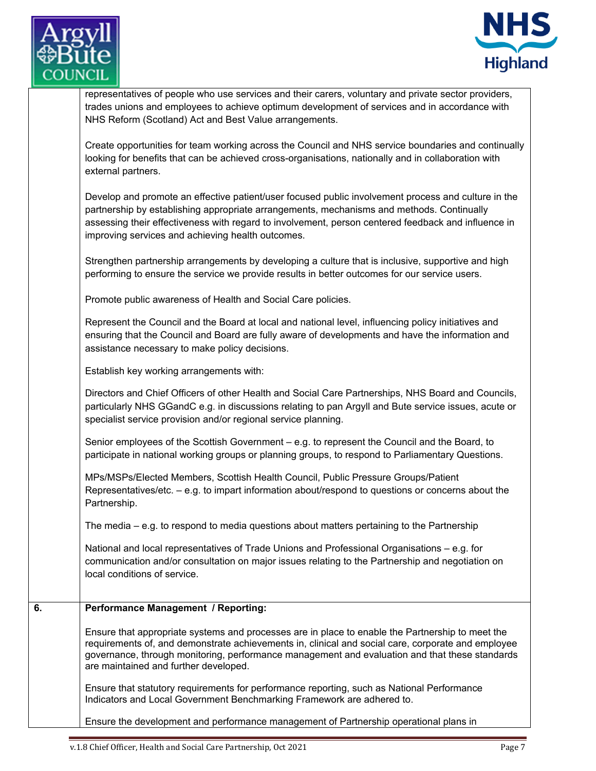



representatives of people who use services and their carers, voluntary and private sector providers, trades unions and employees to achieve optimum development of services and in accordance with NHS Reform (Scotland) Act and Best Value arrangements.

Create opportunities for team working across the Council and NHS service boundaries and continually looking for benefits that can be achieved cross-organisations, nationally and in collaboration with external partners.

Develop and promote an effective patient/user focused public involvement process and culture in the partnership by establishing appropriate arrangements, mechanisms and methods. Continually assessing their effectiveness with regard to involvement, person centered feedback and influence in improving services and achieving health outcomes.

Strengthen partnership arrangements by developing a culture that is inclusive, supportive and high performing to ensure the service we provide results in better outcomes for our service users.

Promote public awareness of Health and Social Care policies.

Represent the Council and the Board at local and national level, influencing policy initiatives and ensuring that the Council and Board are fully aware of developments and have the information and assistance necessary to make policy decisions.

Establish key working arrangements with:

Directors and Chief Officers of other Health and Social Care Partnerships, NHS Board and Councils, particularly NHS GGandC e.g. in discussions relating to pan Argyll and Bute service issues, acute or specialist service provision and/or regional service planning.

Senior employees of the Scottish Government – e.g. to represent the Council and the Board, to participate in national working groups or planning groups, to respond to Parliamentary Questions.

MPs/MSPs/Elected Members, Scottish Health Council, Public Pressure Groups/Patient Representatives/etc. – e.g. to impart information about/respond to questions or concerns about the Partnership.

The media – e.g. to respond to media questions about matters pertaining to the Partnership

National and local representatives of Trade Unions and Professional Organisations – e.g. for communication and/or consultation on major issues relating to the Partnership and negotiation on local conditions of service.

## **6. Performance Management / Reporting:**

Ensure that appropriate systems and processes are in place to enable the Partnership to meet the requirements of, and demonstrate achievements in, clinical and social care, corporate and employee governance, through monitoring, performance management and evaluation and that these standards are maintained and further developed.

Ensure that statutory requirements for performance reporting, such as National Performance Indicators and Local Government Benchmarking Framework are adhered to.

Ensure the development and performance management of Partnership operational plans in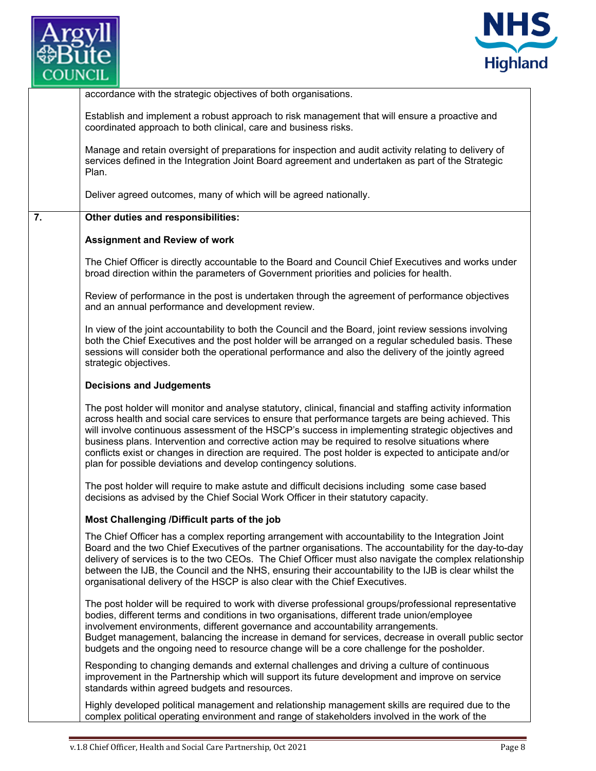



| accordance with the strategic objectives of both organisations.<br>Establish and implement a robust approach to risk management that will ensure a proactive and<br>coordinated approach to both clinical, care and business risks.<br>Manage and retain oversight of preparations for inspection and audit activity relating to delivery of<br>services defined in the Integration Joint Board agreement and undertaken as part of the Strategic<br>Plan.<br>Deliver agreed outcomes, many of which will be agreed nationally.<br>Other duties and responsibilities:<br><b>Assignment and Review of work</b><br>The Chief Officer is directly accountable to the Board and Council Chief Executives and works under<br>broad direction within the parameters of Government priorities and policies for health.<br>Review of performance in the post is undertaken through the agreement of performance objectives<br>and an annual performance and development review.<br>In view of the joint accountability to both the Council and the Board, joint review sessions involving<br>both the Chief Executives and the post holder will be arranged on a regular scheduled basis. These<br>sessions will consider both the operational performance and also the delivery of the jointly agreed<br>strategic objectives.<br><b>Decisions and Judgements</b><br>The post holder will monitor and analyse statutory, clinical, financial and staffing activity information<br>across health and social care services to ensure that performance targets are being achieved. This<br>will involve continuous assessment of the HSCP's success in implementing strategic objectives and<br>business plans. Intervention and corrective action may be required to resolve situations where<br>conflicts exist or changes in direction are required. The post holder is expected to anticipate and/or<br>plan for possible deviations and develop contingency solutions.<br>The post holder will require to make astute and difficult decisions including some case based<br>decisions as advised by the Chief Social Work Officer in their statutory capacity.<br>Most Challenging /Difficult parts of the job<br>The Chief Officer has a complex reporting arrangement with accountability to the Integration Joint<br>Board and the two Chief Executives of the partner organisations. The accountability for the day-to-day<br>delivery of services is to the two CEOs. The Chief Officer must also navigate the complex relationship<br>between the IJB, the Council and the NHS, ensuring their accountability to the IJB is clear whilst the<br>organisational delivery of the HSCP is also clear with the Chief Executives.<br>The post holder will be required to work with diverse professional groups/professional representative<br>bodies, different terms and conditions in two organisations, different trade union/employee<br>involvement environments, different governance and accountability arrangements.<br>Budget management, balancing the increase in demand for services, decrease in overall public sector<br>budgets and the ongoing need to resource change will be a core challenge for the posholder.<br>Responding to changing demands and external challenges and driving a culture of continuous<br>improvement in the Partnership which will support its future development and improve on service<br>standards within agreed budgets and resources.<br>Highly developed political management and relationship management skills are required due to the<br>complex political operating environment and range of stakeholders involved in the work of the |    |  |
|---------------------------------------------------------------------------------------------------------------------------------------------------------------------------------------------------------------------------------------------------------------------------------------------------------------------------------------------------------------------------------------------------------------------------------------------------------------------------------------------------------------------------------------------------------------------------------------------------------------------------------------------------------------------------------------------------------------------------------------------------------------------------------------------------------------------------------------------------------------------------------------------------------------------------------------------------------------------------------------------------------------------------------------------------------------------------------------------------------------------------------------------------------------------------------------------------------------------------------------------------------------------------------------------------------------------------------------------------------------------------------------------------------------------------------------------------------------------------------------------------------------------------------------------------------------------------------------------------------------------------------------------------------------------------------------------------------------------------------------------------------------------------------------------------------------------------------------------------------------------------------------------------------------------------------------------------------------------------------------------------------------------------------------------------------------------------------------------------------------------------------------------------------------------------------------------------------------------------------------------------------------------------------------------------------------------------------------------------------------------------------------------------------------------------------------------------------------------------------------------------------------------------------------------------------------------------------------------------------------------------------------------------------------------------------------------------------------------------------------------------------------------------------------------------------------------------------------------------------------------------------------------------------------------------------------------------------------------------------------------------------------------------------------------------------------------------------------------------------------------------------------------------------------------------------------------------------------------------------------------------------------------------------------------------------------------------------------------------------------------------------------------------------------------------------------------------------------------------------------------------------------------------------------------------------------------------------------------------------------------------------------------------------------------------------------|----|--|
|                                                                                                                                                                                                                                                                                                                                                                                                                                                                                                                                                                                                                                                                                                                                                                                                                                                                                                                                                                                                                                                                                                                                                                                                                                                                                                                                                                                                                                                                                                                                                                                                                                                                                                                                                                                                                                                                                                                                                                                                                                                                                                                                                                                                                                                                                                                                                                                                                                                                                                                                                                                                                                                                                                                                                                                                                                                                                                                                                                                                                                                                                                                                                                                                                                                                                                                                                                                                                                                                                                                                                                                                                                                                                       |    |  |
|                                                                                                                                                                                                                                                                                                                                                                                                                                                                                                                                                                                                                                                                                                                                                                                                                                                                                                                                                                                                                                                                                                                                                                                                                                                                                                                                                                                                                                                                                                                                                                                                                                                                                                                                                                                                                                                                                                                                                                                                                                                                                                                                                                                                                                                                                                                                                                                                                                                                                                                                                                                                                                                                                                                                                                                                                                                                                                                                                                                                                                                                                                                                                                                                                                                                                                                                                                                                                                                                                                                                                                                                                                                                                       |    |  |
|                                                                                                                                                                                                                                                                                                                                                                                                                                                                                                                                                                                                                                                                                                                                                                                                                                                                                                                                                                                                                                                                                                                                                                                                                                                                                                                                                                                                                                                                                                                                                                                                                                                                                                                                                                                                                                                                                                                                                                                                                                                                                                                                                                                                                                                                                                                                                                                                                                                                                                                                                                                                                                                                                                                                                                                                                                                                                                                                                                                                                                                                                                                                                                                                                                                                                                                                                                                                                                                                                                                                                                                                                                                                                       |    |  |
|                                                                                                                                                                                                                                                                                                                                                                                                                                                                                                                                                                                                                                                                                                                                                                                                                                                                                                                                                                                                                                                                                                                                                                                                                                                                                                                                                                                                                                                                                                                                                                                                                                                                                                                                                                                                                                                                                                                                                                                                                                                                                                                                                                                                                                                                                                                                                                                                                                                                                                                                                                                                                                                                                                                                                                                                                                                                                                                                                                                                                                                                                                                                                                                                                                                                                                                                                                                                                                                                                                                                                                                                                                                                                       |    |  |
|                                                                                                                                                                                                                                                                                                                                                                                                                                                                                                                                                                                                                                                                                                                                                                                                                                                                                                                                                                                                                                                                                                                                                                                                                                                                                                                                                                                                                                                                                                                                                                                                                                                                                                                                                                                                                                                                                                                                                                                                                                                                                                                                                                                                                                                                                                                                                                                                                                                                                                                                                                                                                                                                                                                                                                                                                                                                                                                                                                                                                                                                                                                                                                                                                                                                                                                                                                                                                                                                                                                                                                                                                                                                                       | 7. |  |
|                                                                                                                                                                                                                                                                                                                                                                                                                                                                                                                                                                                                                                                                                                                                                                                                                                                                                                                                                                                                                                                                                                                                                                                                                                                                                                                                                                                                                                                                                                                                                                                                                                                                                                                                                                                                                                                                                                                                                                                                                                                                                                                                                                                                                                                                                                                                                                                                                                                                                                                                                                                                                                                                                                                                                                                                                                                                                                                                                                                                                                                                                                                                                                                                                                                                                                                                                                                                                                                                                                                                                                                                                                                                                       |    |  |
|                                                                                                                                                                                                                                                                                                                                                                                                                                                                                                                                                                                                                                                                                                                                                                                                                                                                                                                                                                                                                                                                                                                                                                                                                                                                                                                                                                                                                                                                                                                                                                                                                                                                                                                                                                                                                                                                                                                                                                                                                                                                                                                                                                                                                                                                                                                                                                                                                                                                                                                                                                                                                                                                                                                                                                                                                                                                                                                                                                                                                                                                                                                                                                                                                                                                                                                                                                                                                                                                                                                                                                                                                                                                                       |    |  |
|                                                                                                                                                                                                                                                                                                                                                                                                                                                                                                                                                                                                                                                                                                                                                                                                                                                                                                                                                                                                                                                                                                                                                                                                                                                                                                                                                                                                                                                                                                                                                                                                                                                                                                                                                                                                                                                                                                                                                                                                                                                                                                                                                                                                                                                                                                                                                                                                                                                                                                                                                                                                                                                                                                                                                                                                                                                                                                                                                                                                                                                                                                                                                                                                                                                                                                                                                                                                                                                                                                                                                                                                                                                                                       |    |  |
|                                                                                                                                                                                                                                                                                                                                                                                                                                                                                                                                                                                                                                                                                                                                                                                                                                                                                                                                                                                                                                                                                                                                                                                                                                                                                                                                                                                                                                                                                                                                                                                                                                                                                                                                                                                                                                                                                                                                                                                                                                                                                                                                                                                                                                                                                                                                                                                                                                                                                                                                                                                                                                                                                                                                                                                                                                                                                                                                                                                                                                                                                                                                                                                                                                                                                                                                                                                                                                                                                                                                                                                                                                                                                       |    |  |
|                                                                                                                                                                                                                                                                                                                                                                                                                                                                                                                                                                                                                                                                                                                                                                                                                                                                                                                                                                                                                                                                                                                                                                                                                                                                                                                                                                                                                                                                                                                                                                                                                                                                                                                                                                                                                                                                                                                                                                                                                                                                                                                                                                                                                                                                                                                                                                                                                                                                                                                                                                                                                                                                                                                                                                                                                                                                                                                                                                                                                                                                                                                                                                                                                                                                                                                                                                                                                                                                                                                                                                                                                                                                                       |    |  |
|                                                                                                                                                                                                                                                                                                                                                                                                                                                                                                                                                                                                                                                                                                                                                                                                                                                                                                                                                                                                                                                                                                                                                                                                                                                                                                                                                                                                                                                                                                                                                                                                                                                                                                                                                                                                                                                                                                                                                                                                                                                                                                                                                                                                                                                                                                                                                                                                                                                                                                                                                                                                                                                                                                                                                                                                                                                                                                                                                                                                                                                                                                                                                                                                                                                                                                                                                                                                                                                                                                                                                                                                                                                                                       |    |  |
|                                                                                                                                                                                                                                                                                                                                                                                                                                                                                                                                                                                                                                                                                                                                                                                                                                                                                                                                                                                                                                                                                                                                                                                                                                                                                                                                                                                                                                                                                                                                                                                                                                                                                                                                                                                                                                                                                                                                                                                                                                                                                                                                                                                                                                                                                                                                                                                                                                                                                                                                                                                                                                                                                                                                                                                                                                                                                                                                                                                                                                                                                                                                                                                                                                                                                                                                                                                                                                                                                                                                                                                                                                                                                       |    |  |
|                                                                                                                                                                                                                                                                                                                                                                                                                                                                                                                                                                                                                                                                                                                                                                                                                                                                                                                                                                                                                                                                                                                                                                                                                                                                                                                                                                                                                                                                                                                                                                                                                                                                                                                                                                                                                                                                                                                                                                                                                                                                                                                                                                                                                                                                                                                                                                                                                                                                                                                                                                                                                                                                                                                                                                                                                                                                                                                                                                                                                                                                                                                                                                                                                                                                                                                                                                                                                                                                                                                                                                                                                                                                                       |    |  |
|                                                                                                                                                                                                                                                                                                                                                                                                                                                                                                                                                                                                                                                                                                                                                                                                                                                                                                                                                                                                                                                                                                                                                                                                                                                                                                                                                                                                                                                                                                                                                                                                                                                                                                                                                                                                                                                                                                                                                                                                                                                                                                                                                                                                                                                                                                                                                                                                                                                                                                                                                                                                                                                                                                                                                                                                                                                                                                                                                                                                                                                                                                                                                                                                                                                                                                                                                                                                                                                                                                                                                                                                                                                                                       |    |  |
|                                                                                                                                                                                                                                                                                                                                                                                                                                                                                                                                                                                                                                                                                                                                                                                                                                                                                                                                                                                                                                                                                                                                                                                                                                                                                                                                                                                                                                                                                                                                                                                                                                                                                                                                                                                                                                                                                                                                                                                                                                                                                                                                                                                                                                                                                                                                                                                                                                                                                                                                                                                                                                                                                                                                                                                                                                                                                                                                                                                                                                                                                                                                                                                                                                                                                                                                                                                                                                                                                                                                                                                                                                                                                       |    |  |
|                                                                                                                                                                                                                                                                                                                                                                                                                                                                                                                                                                                                                                                                                                                                                                                                                                                                                                                                                                                                                                                                                                                                                                                                                                                                                                                                                                                                                                                                                                                                                                                                                                                                                                                                                                                                                                                                                                                                                                                                                                                                                                                                                                                                                                                                                                                                                                                                                                                                                                                                                                                                                                                                                                                                                                                                                                                                                                                                                                                                                                                                                                                                                                                                                                                                                                                                                                                                                                                                                                                                                                                                                                                                                       |    |  |
|                                                                                                                                                                                                                                                                                                                                                                                                                                                                                                                                                                                                                                                                                                                                                                                                                                                                                                                                                                                                                                                                                                                                                                                                                                                                                                                                                                                                                                                                                                                                                                                                                                                                                                                                                                                                                                                                                                                                                                                                                                                                                                                                                                                                                                                                                                                                                                                                                                                                                                                                                                                                                                                                                                                                                                                                                                                                                                                                                                                                                                                                                                                                                                                                                                                                                                                                                                                                                                                                                                                                                                                                                                                                                       |    |  |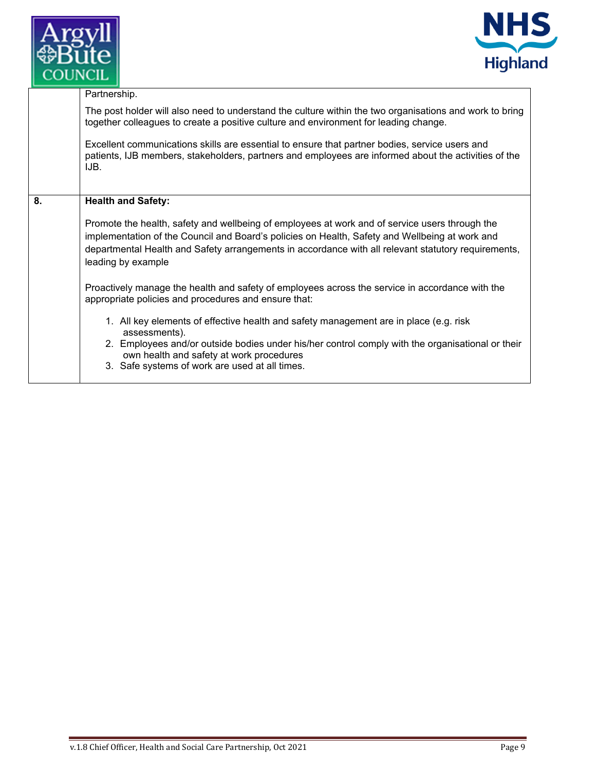



|    | Partnership.                                                                                                                                                                                                                                                                                                                  |
|----|-------------------------------------------------------------------------------------------------------------------------------------------------------------------------------------------------------------------------------------------------------------------------------------------------------------------------------|
|    | The post holder will also need to understand the culture within the two organisations and work to bring<br>together colleagues to create a positive culture and environment for leading change.                                                                                                                               |
|    | Excellent communications skills are essential to ensure that partner bodies, service users and<br>patients, IJB members, stakeholders, partners and employees are informed about the activities of the<br>IJB.                                                                                                                |
|    |                                                                                                                                                                                                                                                                                                                               |
| 8. | <b>Health and Safety:</b>                                                                                                                                                                                                                                                                                                     |
|    | Promote the health, safety and wellbeing of employees at work and of service users through the<br>implementation of the Council and Board's policies on Health, Safety and Wellbeing at work and<br>departmental Health and Safety arrangements in accordance with all relevant statutory requirements,<br>leading by example |
|    | Proactively manage the health and safety of employees across the service in accordance with the<br>appropriate policies and procedures and ensure that:                                                                                                                                                                       |
|    | 1. All key elements of effective health and safety management are in place (e.g. risk<br>assessments).                                                                                                                                                                                                                        |
|    | 2. Employees and/or outside bodies under his/her control comply with the organisational or their<br>own health and safety at work procedures                                                                                                                                                                                  |
|    | 3. Safe systems of work are used at all times.                                                                                                                                                                                                                                                                                |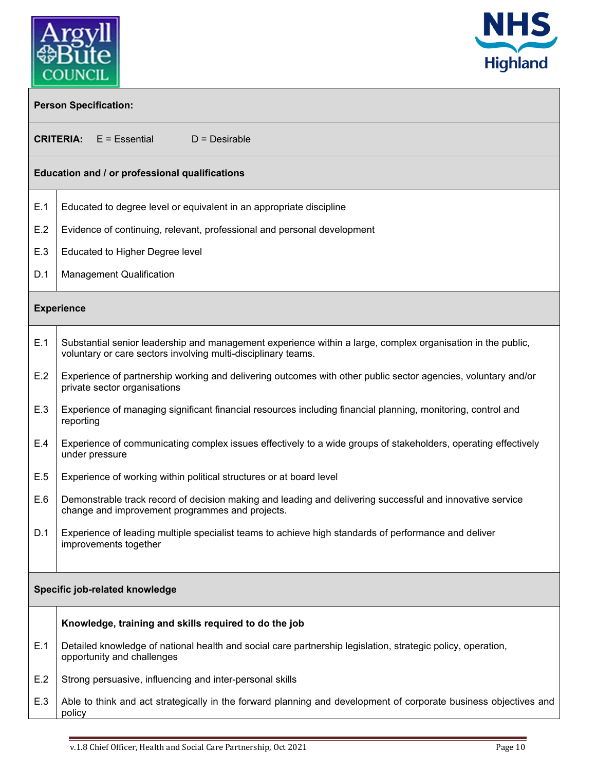



| <b>Person Specification:</b>   |                                                                                                                                                                              |  |  |
|--------------------------------|------------------------------------------------------------------------------------------------------------------------------------------------------------------------------|--|--|
|                                | <b>CRITERIA:</b> E = Essential<br>$D =$ Desirable                                                                                                                            |  |  |
|                                | Education and / or professional qualifications                                                                                                                               |  |  |
| E.1                            | Educated to degree level or equivalent in an appropriate discipline                                                                                                          |  |  |
| E.2                            | Evidence of continuing, relevant, professional and personal development                                                                                                      |  |  |
| E.3                            | Educated to Higher Degree level                                                                                                                                              |  |  |
| D.1                            | <b>Management Qualification</b>                                                                                                                                              |  |  |
|                                | <b>Experience</b>                                                                                                                                                            |  |  |
| E.1                            | Substantial senior leadership and management experience within a large, complex organisation in the public,<br>voluntary or care sectors involving multi-disciplinary teams. |  |  |
| E.2                            | Experience of partnership working and delivering outcomes with other public sector agencies, voluntary and/or<br>private sector organisations                                |  |  |
| E.3                            | Experience of managing significant financial resources including financial planning, monitoring, control and<br>reporting                                                    |  |  |
| E.4                            | Experience of communicating complex issues effectively to a wide groups of stakeholders, operating effectively<br>under pressure                                             |  |  |
| E.5                            | Experience of working within political structures or at board level                                                                                                          |  |  |
| E.6                            | Demonstrable track record of decision making and leading and delivering successful and innovative service<br>change and improvement programmes and projects.                 |  |  |
| D.1                            | Experience of leading multiple specialist teams to achieve high standards of performance and deliver<br>improvements together                                                |  |  |
| Specific job-related knowledge |                                                                                                                                                                              |  |  |
|                                | Knowledge, training and skills required to do the job                                                                                                                        |  |  |
| E.1                            | Detailed knowledge of national health and social care partnership legislation, strategic policy, operation,<br>opportunity and challenges                                    |  |  |
| E.2                            | Strong persuasive, influencing and inter-personal skills                                                                                                                     |  |  |
| E.3                            | Able to think and act strategically in the forward planning and development of corporate business objectives and<br>policy                                                   |  |  |